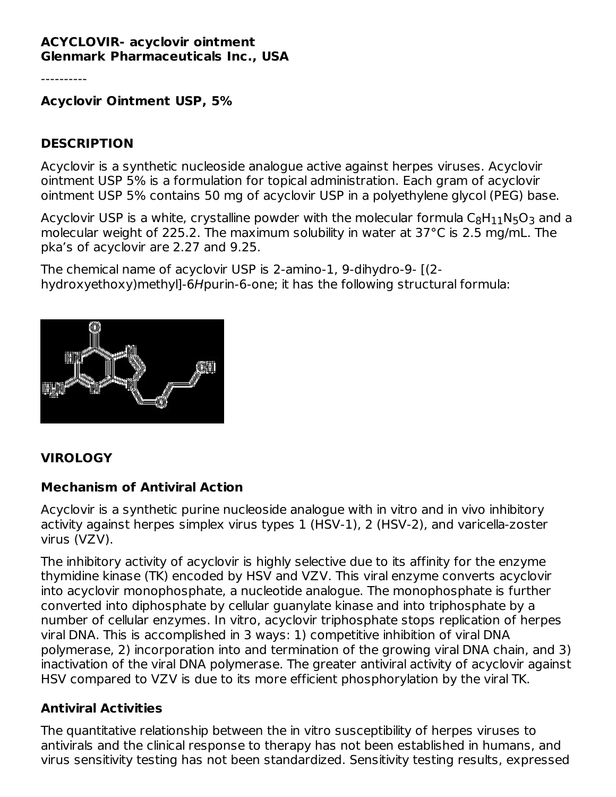#### **ACYCLOVIR- acyclovir ointment Glenmark Pharmaceuticals Inc., USA**

----------

**Acyclovir Ointment USP, 5%**

### **DESCRIPTION**

Acyclovir is a synthetic nucleoside analogue active against herpes viruses. Acyclovir ointment USP 5% is a formulation for topical administration. Each gram of acyclovir ointment USP 5% contains 50 mg of acyclovir USP in a polyethylene glycol (PEG) base.

Acyclovir USP is a white, crystalline powder with the molecular formula  $\mathsf{C}_8\mathsf{H}_{11}\mathsf{N}_5\mathsf{O}_3$  and a molecular weight of 225.2. The maximum solubility in water at 37°C is 2.5 mg/mL. The pka's of acyclovir are 2.27 and 9.25.

The chemical name of acyclovir USP is 2-amino-1, 9-dihydro-9- [(2 hydroxyethoxy)methyl]-6Hpurin-6-one; it has the following structural formula:



# **VIROLOGY**

# **Mechanism of Antiviral Action**

Acyclovir is a synthetic purine nucleoside analogue with in vitro and in vivo inhibitory activity against herpes simplex virus types 1 (HSV-1), 2 (HSV-2), and varicella-zoster virus (VZV).

The inhibitory activity of acyclovir is highly selective due to its affinity for the enzyme thymidine kinase (TK) encoded by HSV and VZV. This viral enzyme converts acyclovir into acyclovir monophosphate, a nucleotide analogue. The monophosphate is further converted into diphosphate by cellular guanylate kinase and into triphosphate by a number of cellular enzymes. In vitro, acyclovir triphosphate stops replication of herpes viral DNA. This is accomplished in 3 ways: 1) competitive inhibition of viral DNA polymerase, 2) incorporation into and termination of the growing viral DNA chain, and 3) inactivation of the viral DNA polymerase. The greater antiviral activity of acyclovir against HSV compared to VZV is due to its more efficient phosphorylation by the viral TK.

#### **Antiviral Activities**

The quantitative relationship between the in vitro susceptibility of herpes viruses to antivirals and the clinical response to therapy has not been established in humans, and virus sensitivity testing has not been standardized. Sensitivity testing results, expressed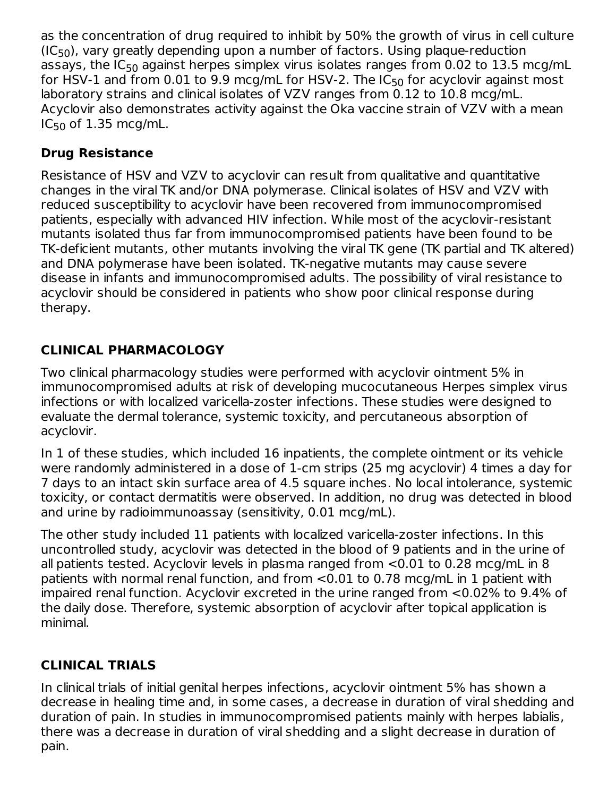as the concentration of drug required to inhibit by 50% the growth of virus in cell culture  $(IC_{50})$ , vary greatly depending upon a number of factors. Using plaque-reduction assays, the IC<sub>50</sub> against herpes simplex virus isolates ranges from 0.02 to  $13.5$  mcg/mL for HSV-1 and from 0.01 to 9.9 mcg/mL for HSV-2. The IC $_{\rm 50}$  for acyclovir against most laboratory strains and clinical isolates of VZV ranges from 0.12 to 10.8 mcg/mL. Acyclovir also demonstrates activity against the Oka vaccine strain of VZV with a mean  $IC_{50}$  of  $1.35$  mcg/mL.

# **Drug Resistance**

Resistance of HSV and VZV to acyclovir can result from qualitative and quantitative changes in the viral TK and/or DNA polymerase. Clinical isolates of HSV and VZV with reduced susceptibility to acyclovir have been recovered from immunocompromised patients, especially with advanced HIV infection. While most of the acyclovir-resistant mutants isolated thus far from immunocompromised patients have been found to be TK-deficient mutants, other mutants involving the viral TK gene (TK partial and TK altered) and DNA polymerase have been isolated. TK-negative mutants may cause severe disease in infants and immunocompromised adults. The possibility of viral resistance to acyclovir should be considered in patients who show poor clinical response during therapy.

# **CLINICAL PHARMACOLOGY**

Two clinical pharmacology studies were performed with acyclovir ointment 5% in immunocompromised adults at risk of developing mucocutaneous Herpes simplex virus infections or with localized varicella-zoster infections. These studies were designed to evaluate the dermal tolerance, systemic toxicity, and percutaneous absorption of acyclovir.

In 1 of these studies, which included 16 inpatients, the complete ointment or its vehicle were randomly administered in a dose of 1-cm strips (25 mg acyclovir) 4 times a day for 7 days to an intact skin surface area of 4.5 square inches. No local intolerance, systemic toxicity, or contact dermatitis were observed. In addition, no drug was detected in blood and urine by radioimmunoassay (sensitivity, 0.01 mcg/mL).

The other study included 11 patients with localized varicella-zoster infections. In this uncontrolled study, acyclovir was detected in the blood of 9 patients and in the urine of all patients tested. Acyclovir levels in plasma ranged from <0.01 to 0.28 mcg/mL in 8 patients with normal renal function, and from <0.01 to 0.78 mcg/mL in 1 patient with impaired renal function. Acyclovir excreted in the urine ranged from <0.02% to 9.4% of the daily dose. Therefore, systemic absorption of acyclovir after topical application is minimal.

# **CLINICAL TRIALS**

In clinical trials of initial genital herpes infections, acyclovir ointment 5% has shown a decrease in healing time and, in some cases, a decrease in duration of viral shedding and duration of pain. In studies in immunocompromised patients mainly with herpes labialis, there was a decrease in duration of viral shedding and a slight decrease in duration of pain.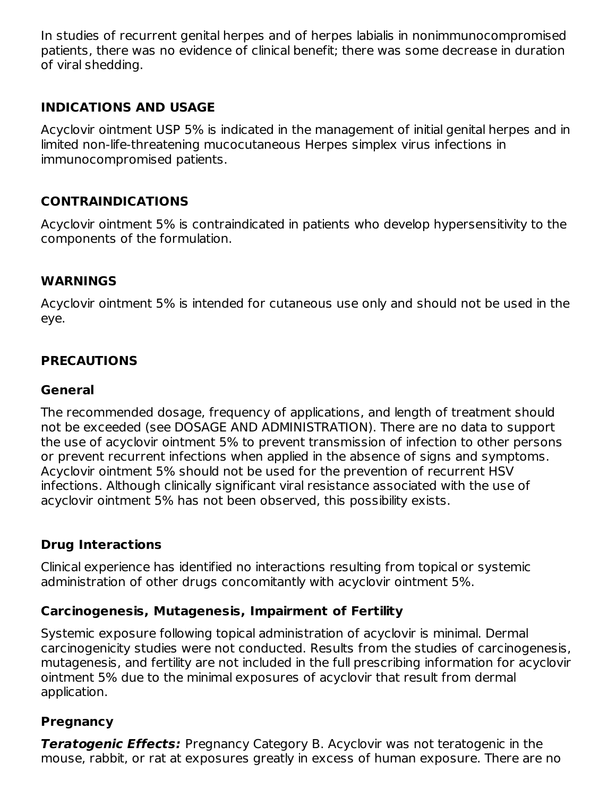In studies of recurrent genital herpes and of herpes labialis in nonimmunocompromised patients, there was no evidence of clinical benefit; there was some decrease in duration of viral shedding.

### **INDICATIONS AND USAGE**

Acyclovir ointment USP 5% is indicated in the management of initial genital herpes and in limited non-life-threatening mucocutaneous Herpes simplex virus infections in immunocompromised patients.

### **CONTRAINDICATIONS**

Acyclovir ointment 5% is contraindicated in patients who develop hypersensitivity to the components of the formulation.

#### **WARNINGS**

Acyclovir ointment 5% is intended for cutaneous use only and should not be used in the eye.

# **PRECAUTIONS**

#### **General**

The recommended dosage, frequency of applications, and length of treatment should not be exceeded (see DOSAGE AND ADMINISTRATION). There are no data to support the use of acyclovir ointment 5% to prevent transmission of infection to other persons or prevent recurrent infections when applied in the absence of signs and symptoms. Acyclovir ointment 5% should not be used for the prevention of recurrent HSV infections. Although clinically significant viral resistance associated with the use of acyclovir ointment 5% has not been observed, this possibility exists.

#### **Drug Interactions**

Clinical experience has identified no interactions resulting from topical or systemic administration of other drugs concomitantly with acyclovir ointment 5%.

#### **Carcinogenesis, Mutagenesis, Impairment of Fertility**

Systemic exposure following topical administration of acyclovir is minimal. Dermal carcinogenicity studies were not conducted. Results from the studies of carcinogenesis, mutagenesis, and fertility are not included in the full prescribing information for acyclovir ointment 5% due to the minimal exposures of acyclovir that result from dermal application.

#### **Pregnancy**

**Teratogenic Effects:** Pregnancy Category B. Acyclovir was not teratogenic in the mouse, rabbit, or rat at exposures greatly in excess of human exposure. There are no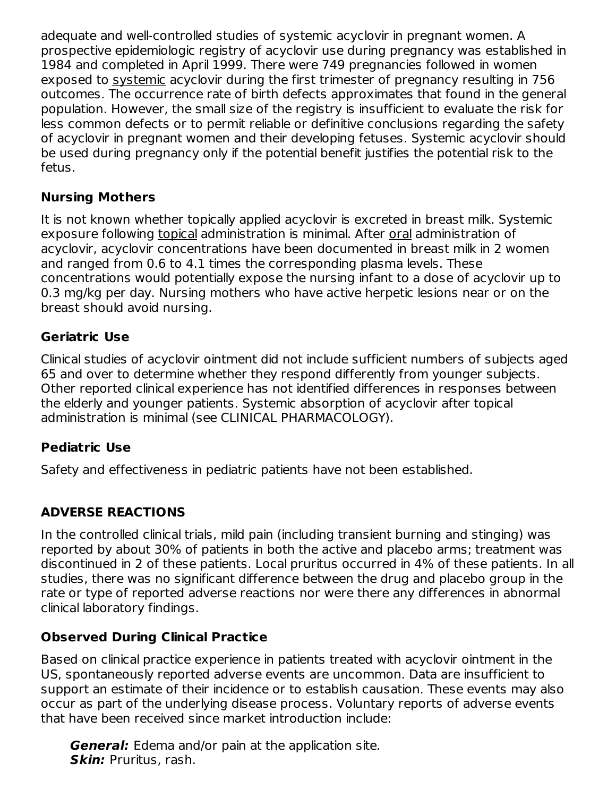adequate and well-controlled studies of systemic acyclovir in pregnant women. A prospective epidemiologic registry of acyclovir use during pregnancy was established in 1984 and completed in April 1999. There were 749 pregnancies followed in women exposed to systemic acyclovir during the first trimester of pregnancy resulting in 756 outcomes. The occurrence rate of birth defects approximates that found in the general population. However, the small size of the registry is insufficient to evaluate the risk for less common defects or to permit reliable or definitive conclusions regarding the safety of acyclovir in pregnant women and their developing fetuses. Systemic acyclovir should be used during pregnancy only if the potential benefit justifies the potential risk to the fetus.

### **Nursing Mothers**

It is not known whether topically applied acyclovir is excreted in breast milk. Systemic exposure following topical administration is minimal. After oral administration of acyclovir, acyclovir concentrations have been documented in breast milk in 2 women and ranged from 0.6 to 4.1 times the corresponding plasma levels. These concentrations would potentially expose the nursing infant to a dose of acyclovir up to 0.3 mg/kg per day. Nursing mothers who have active herpetic lesions near or on the breast should avoid nursing.

# **Geriatric Use**

Clinical studies of acyclovir ointment did not include sufficient numbers of subjects aged 65 and over to determine whether they respond differently from younger subjects. Other reported clinical experience has not identified differences in responses between the elderly and younger patients. Systemic absorption of acyclovir after topical administration is minimal (see CLINICAL PHARMACOLOGY).

# **Pediatric Use**

Safety and effectiveness in pediatric patients have not been established.

# **ADVERSE REACTIONS**

In the controlled clinical trials, mild pain (including transient burning and stinging) was reported by about 30% of patients in both the active and placebo arms; treatment was discontinued in 2 of these patients. Local pruritus occurred in 4% of these patients. In all studies, there was no significant difference between the drug and placebo group in the rate or type of reported adverse reactions nor were there any differences in abnormal clinical laboratory findings.

# **Observed During Clinical Practice**

Based on clinical practice experience in patients treated with acyclovir ointment in the US, spontaneously reported adverse events are uncommon. Data are insufficient to support an estimate of their incidence or to establish causation. These events may also occur as part of the underlying disease process. Voluntary reports of adverse events that have been received since market introduction include:

**General:** Edema and/or pain at the application site. **Skin:** Pruritus, rash.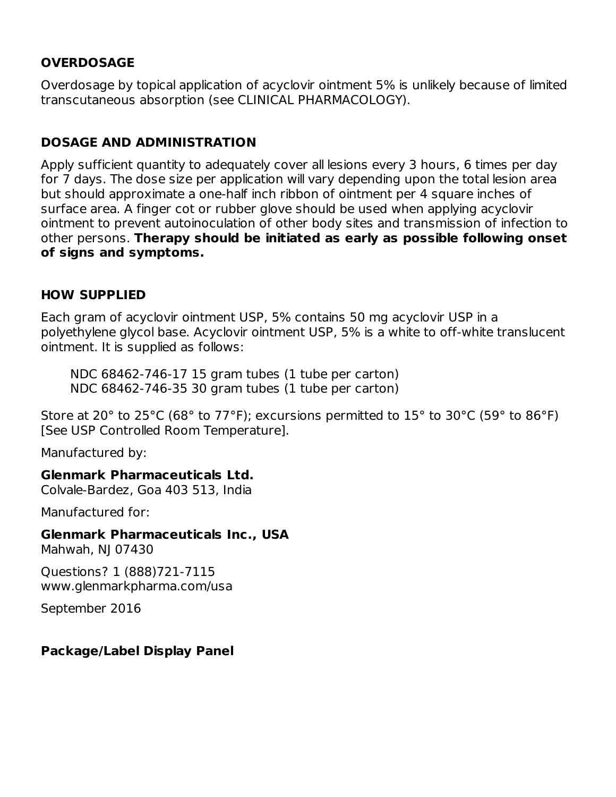# **OVERDOSAGE**

Overdosage by topical application of acyclovir ointment 5% is unlikely because of limited transcutaneous absorption (see CLINICAL PHARMACOLOGY).

# **DOSAGE AND ADMINISTRATION**

Apply sufficient quantity to adequately cover all lesions every 3 hours, 6 times per day for 7 days. The dose size per application will vary depending upon the total lesion area but should approximate a one-half inch ribbon of ointment per 4 square inches of surface area. A finger cot or rubber glove should be used when applying acyclovir ointment to prevent autoinoculation of other body sites and transmission of infection to other persons. **Therapy should be initiated as early as possible following onset of signs and symptoms.**

# **HOW SUPPLIED**

Each gram of acyclovir ointment USP, 5% contains 50 mg acyclovir USP in a polyethylene glycol base. Acyclovir ointment USP, 5% is a white to off-white translucent ointment. It is supplied as follows:

NDC 68462-746-17 15 gram tubes (1 tube per carton) NDC 68462-746-35 30 gram tubes (1 tube per carton)

Store at 20 $^{\circ}$  to 25 $^{\circ}$ C (68 $^{\circ}$  to 77 $^{\circ}$ F); excursions permitted to 15 $^{\circ}$  to 30 $^{\circ}$ C (59 $^{\circ}$  to 86 $^{\circ}$ F) [See USP Controlled Room Temperature].

Manufactured by:

**Glenmark Pharmaceuticals Ltd.**

Colvale-Bardez, Goa 403 513, India

Manufactured for:

**Glenmark Pharmaceuticals Inc., USA**

Mahwah, NJ 07430

Questions? 1 (888)721-7115 www.glenmarkpharma.com/usa

September 2016

# **Package/Label Display Panel**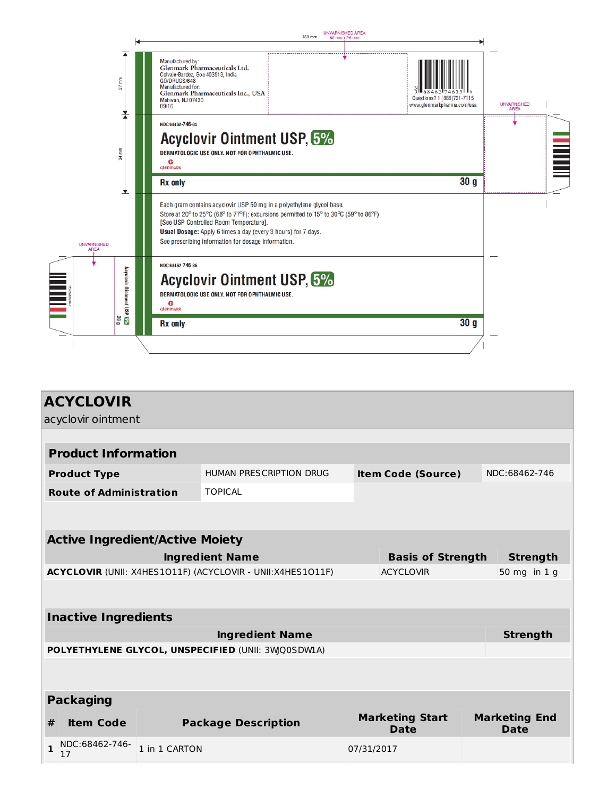|                                                   | UNVARNISHED AREA<br>150 mm<br>60 mm x 26 mm                                                                                                                                                                                                                                                                                      |                                                          |                                   |
|---------------------------------------------------|----------------------------------------------------------------------------------------------------------------------------------------------------------------------------------------------------------------------------------------------------------------------------------------------------------------------------------|----------------------------------------------------------|-----------------------------------|
| Ē<br>$\overline{5}$                               | Manufactured by:<br>Glenmark Pharmaceuticals Ltd.<br>Colvale-Bardez, Goa 403513, India<br>GO/DRUGS/648<br>Manufactured for:<br>Glenmark Pharmaceuticals Inc., USA<br>Mahwah, NJ 07430<br>09/16                                                                                                                                   | Questions? 1 (888)721-7115<br>www.glenmarkpharma.com/usa | <b>UNVARNISHED</b><br><b>AREA</b> |
| 荡                                                 | NDC 68462-746-35<br><b>Acyclovir Ointment USP, 5%</b><br>DERMATOLOGIC USE ONLY. NOT FOR OPHTHALMIC USE.<br>С<br><b>Glenmark</b>                                                                                                                                                                                                  |                                                          |                                   |
|                                                   | <b>Rx</b> only                                                                                                                                                                                                                                                                                                                   | 30 <sub>g</sub>                                          |                                   |
| <b>UNVARNISHED</b><br><b>AREA</b>                 | Each gram contains acyclovir USP 50 mg in a polyethylene glycol base.<br>Store at 20° to 25°C (68° to 77°F); excursions permitted to 15° to 30°C (59° to 86°F)<br>[See USP Controlled Room Temperature].<br>Usual Dosage: Apply 6 times a day (every 3 hours) for 7 days.<br>See prescribing information for dosage information. |                                                          |                                   |
| Acyclovir Ointment USP, 5 <mark>%</mark><br>0 0 0 | NDC 68462-746-35<br><b>Acyclovir Ointment USP, 5%</b><br>DERMATOLOGIC USE ONLY, NOT FOR OPHTHALMIC USE.<br>e<br><b>Glenmark</b>                                                                                                                                                                                                  |                                                          |                                   |
|                                                   | <b>Rx</b> only                                                                                                                                                                                                                                                                                                                   | 30 <sub>q</sub>                                          |                                   |
|                                                   |                                                                                                                                                                                                                                                                                                                                  |                                                          |                                   |

| <b>ACYCLOVIR</b>                                                               |                                        |                                                    |            |                                |                                     |
|--------------------------------------------------------------------------------|----------------------------------------|----------------------------------------------------|------------|--------------------------------|-------------------------------------|
| acyclovir ointment                                                             |                                        |                                                    |            |                                |                                     |
|                                                                                |                                        |                                                    |            |                                |                                     |
| <b>Product Information</b>                                                     |                                        |                                                    |            |                                |                                     |
| <b>Product Type</b>                                                            |                                        | HUMAN PRESCRIPTION DRUG                            |            | <b>Item Code (Source)</b>      | NDC:68462-746                       |
| <b>Route of Administration</b>                                                 |                                        | <b>TOPICAL</b>                                     |            |                                |                                     |
|                                                                                |                                        |                                                    |            |                                |                                     |
|                                                                                | <b>Active Ingredient/Active Moiety</b> |                                                    |            |                                |                                     |
| <b>Ingredient Name</b><br><b>Basis of Strength</b>                             |                                        |                                                    |            | <b>Strength</b>                |                                     |
| ACYCLOVIR (UNII: X4HES1O11F) (ACYCLOVIR - UNII:X4HES1O11F)<br><b>ACYCLOVIR</b> |                                        | 50 mg in 1 g                                       |            |                                |                                     |
|                                                                                |                                        |                                                    |            |                                |                                     |
| <b>Inactive Ingredients</b>                                                    |                                        |                                                    |            |                                |                                     |
|                                                                                |                                        | <b>Ingredient Name</b>                             |            |                                | <b>Strength</b>                     |
|                                                                                |                                        | POLYETHYLENE GLYCOL, UNSPECIFIED (UNII: 3WQ0SDW1A) |            |                                |                                     |
|                                                                                |                                        |                                                    |            |                                |                                     |
| <b>Packaging</b>                                                               |                                        |                                                    |            |                                |                                     |
| <b>Item Code</b><br>#                                                          |                                        | <b>Package Description</b>                         |            | <b>Marketing Start</b><br>Date | <b>Marketing End</b><br><b>Date</b> |
| NDC:68462-746-<br>$\mathbf{1}$<br>17                                           | 1 in 1 CARTON                          |                                                    | 07/31/2017 |                                |                                     |